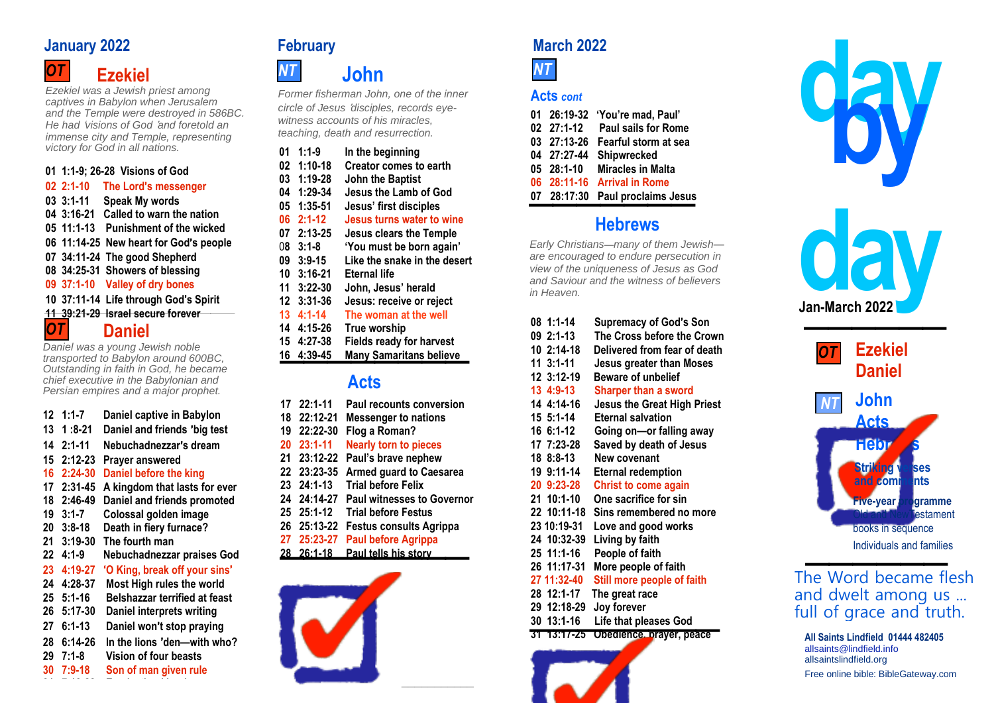# **January** 2022 **February February March** 2022



*Ezekiel was a Jewish priest among captives in Babylon when Jerusalem and the Temple were destroyed in 586BC. He had* '*visions of God* '*and foretold an immense city and Temple, representing victory for God in all nations.*

## **01 1:1-9; 26-28 Visions of God**

|    | $12 \quad 1:1-7$ | Daniel captive in Babylon            |
|----|------------------|--------------------------------------|
| 13 | 1 :8-21          | Daniel and friends 'big test         |
| 14 | 2:1-11           | Nebuchadnezzar's dream               |
| 15 | $2:12 - 23$      | Prayer answered                      |
| 16 | $2:24-30$        | Daniel before the king               |
| 17 | $2:31 - 45$      | A kingdom that lasts for ever        |
| 18 | 2:46-49          | Daniel and friends promoted          |
| 19 | $3:1 - 7$        | Colossal golden image                |
| 20 | $3:8 - 18$       | Death in fiery furnace?              |
| 21 | $3:19-30$        | The fourth man                       |
| 22 | $4:1-9$          | Nebuchadnezzar praises God           |
| 23 | $4:19-27$        | 'O King, break off your sins'        |
| 24 | 4:28-37          | Most High rules the world            |
| 25 | $5:1 - 16$       | <b>Belshazzar terrified at feast</b> |
| 26 | 5:17-30          | Daniel interprets writing            |
| 27 | $6:1 - 13$       | Daniel won't stop praying            |
| 28 | $6:14-26$        | In the lions 'den—with who?          |
| 29 | $7:1-8$          | <b>Vision of four beasts</b>         |
| 30 | $7:9-18$         | Son of man given rule                |

**31 7:19-28 Everlasting kingdom**

 **John** *Former fisherman John, one of the inner circle of Jesus* '*disciples, records eye-*

*witness accounts of his miracles, teaching, death and resurrection.*

| victory for God in all nations.<br>01 1:1-9; 26-28 Visions of God<br>02 2:1-10<br>The Lord's messenger<br>03 3:1-11<br>Speak My words<br>Called to warn the nation<br>04 3:16-21<br>05 11:1-13 Punishment of the wicked<br>06 11:14-25 New heart for God's people<br>07 34:11-24 The good Shepherd<br>08 34:25-31 Showers of blessing<br>09 37:1-10 Valley of dry bones<br>10 37:11-14 Life through God's Spirit<br><u>11_39.21-29_Israel secure forever</u> | $01 \quad 1:1-9$<br>In the beginning<br>1:10-18<br>Creator comes to earth<br>02<br>03 1:19-28<br><b>John the Baptist</b><br>04 1:29-34<br>Jesus the Lamb of God<br>05 1:35-51<br>Jesus' first disciples<br>$062:1-12$<br>Jesus turns water to wine<br>07 2:13-25<br>Jesus clears the Temple<br>$08$ 3:1-8<br>'You must be born again'<br>09 3:9-15<br>Like the snake in the desert<br>10 3:16-21<br><b>Eternal life</b><br>$11 \quad 3:22 - 30$<br>John, Jesus' herald<br>12 3:31-36<br>Jesus: receive or reject<br>$13 \quad 4:1 - 14$<br>The woman at the well | 03 ZI:15-Z6 Feartul storm at sea<br>04 27:27-44 Shipwrecked<br>05 28:1-10<br><b>Miracles in Malta</b><br><b>Arrival in Rome</b><br>06 28:11-16<br>07 28:17:30 Paul proclaims Jesus<br><b>Hebrews</b><br>Early Christians-many of them Jewish-<br>are encouraged to endure persecution in<br>view of the uniqueness of Jesus as God<br>and Saviour and the witness of believers<br>in Heaven. | Jan-March 2022                  |
|--------------------------------------------------------------------------------------------------------------------------------------------------------------------------------------------------------------------------------------------------------------------------------------------------------------------------------------------------------------------------------------------------------------------------------------------------------------|------------------------------------------------------------------------------------------------------------------------------------------------------------------------------------------------------------------------------------------------------------------------------------------------------------------------------------------------------------------------------------------------------------------------------------------------------------------------------------------------------------------------------------------------------------------|----------------------------------------------------------------------------------------------------------------------------------------------------------------------------------------------------------------------------------------------------------------------------------------------------------------------------------------------------------------------------------------------|---------------------------------|
| <b>OT</b><br><b>Daniel</b><br>Daniel was a young Jewish noble<br>ransported to Babylon around 600BC,<br>Outstanding in faith in God, he became<br>chief executive in the Babylonian and                                                                                                                                                                                                                                                                      | 14 4:15-26<br>True worship<br>15 4:27-38<br><b>Fields ready for harvest</b><br><b>Many Samaritans believe</b><br>16 4:39-45<br><b>Acts</b>                                                                                                                                                                                                                                                                                                                                                                                                                       | 08 1:1-14<br><b>Supremacy of God's Son</b><br>$092:1-13$<br>The Cross before the Crown<br>10 2:14-18<br>Delivered from fear of death<br>$11$ 3:1-11<br>Jesus greater than Moses<br>12 3:12-19<br><b>Beware of unbelief</b>                                                                                                                                                                   | <b>Ezekiel</b><br><b>Daniel</b> |
| Persian empires and a major prophet.<br>$12 1:1-7$<br>Daniel captive in Babylon                                                                                                                                                                                                                                                                                                                                                                              | $1722:1-11$<br>Paul recounts conversion<br>18 22:12-21<br><b>Messenger to nations</b>                                                                                                                                                                                                                                                                                                                                                                                                                                                                            | 13 4:9-13<br>Sharper than a sword<br>14 4:14-16<br><b>Jesus the Great High Priest</b><br>15 5:1-14<br><b>Eternal salvation</b>                                                                                                                                                                                                                                                               | John<br>Acte                    |

**19 22:22-30 Flog a Roman?**

## **20 23:1-11 Nearly torn to pieces**

- **21 23:12-22 Paul's brave nephew**
- **22 23:23-35 Armed guard to Caesarea**
- **23 24:1-13 Trial before Felix**
- **24 24:14-27 Paul witnesses to Governor**
- **25 25:1-12 Trial before Festus**
- 
- 26 25:13-22 Festus consults Agrippa<br><mark>27 25:23-27 Paul before Agrippa</mark><br>28 26:1-18 Paul tells his story **27 25:23-27 Paul before Agrippa**
- **28 26:1-18 Paul tells his story**





## **Acts** *cont*

|                    | 01 26:19-32 'You're mad, Paul' |
|--------------------|--------------------------------|
| $02 \quad 27:1-12$ | <b>Paul sails for Rome</b>     |
| 03 27:13-26        | Fearful storm at sea           |
| 04 27:27-44        | <b>Shipwrecked</b>             |
| $05$ 28:1-10       | <b>Miracles in Malta</b>       |
| 06 28:11-16        | <b>Arrival in Rome</b>         |
| 07 28:17:30        | <b>Paul proclaims Jesus</b>    |
|                    |                                |

# **Hebrews**

| 08 1:1-14   | <b>Supremacy of God's Son</b>      |
|-------------|------------------------------------|
| 09 2:1-13   | The Cross before the Crown         |
| 10 2:14-18  | Delivered from fear of death       |
| 11 3:1-11   | <b>Jesus greater than Moses</b>    |
| 12 3:12-19  | <b>Beware of unbelief</b>          |
| 13 4:9-13   | <b>Sharper than a sword</b>        |
| 14 4:14-16  | <b>Jesus the Great High Priest</b> |
| 15 5:1-14   | <b>Eternal salvation</b>           |
| 16 6:1-12   | Going on-or falling away           |
| 17 7:23-28  | Saved by death of Jesus            |
| 18 8:8-13   | New covenant                       |
| 19 9:11-14  | <b>Eternal redemption</b>          |
| 20 9:23-28  | <b>Christ to come again</b>        |
| 21 10:1-10  | One sacrifice for sin              |
| 22 10:11-18 | Sins remembered no more            |
| 23 10:19-31 | Love and good works                |
| 24 10:32-39 | Living by faith                    |
| 25 11:1-16  | People of faith                    |
| 26 11:17-31 | More people of faith               |
| 27 11:32-40 | Still more people of faith         |
| 28 12:1-17  | The great race                     |
| 29 12:18-29 | Joy forever                        |
| 30 13:1-16  | <b>Life that pleases God</b>       |
|             |                                    |

**30 13:1-16 Life that pleases God 31 13:17-25 Obedience, prayer, peace**







The Word became flesh and dwelt among us ... full of grace and truth.

**All Saints Lindfield 01444 482405** John 1:14 [allsaints@lindfield.info](mailto:allsaints@lindfield.info) allsaintslindfield.org Free online bible: BibleGateway.com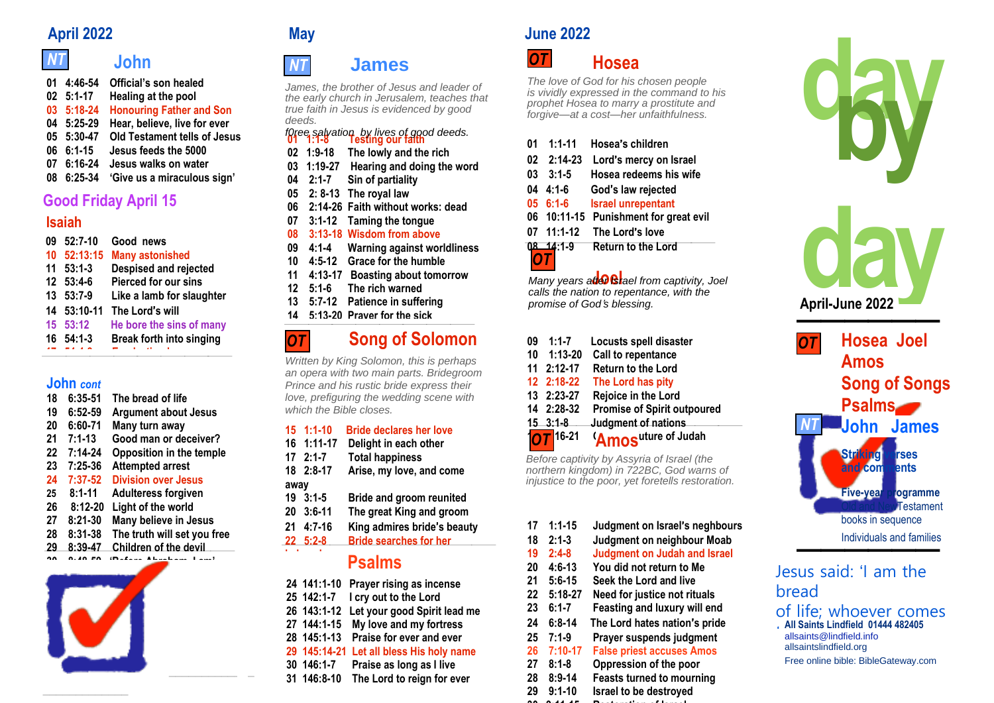## *NT* **John** *NT*

| 01 4:46-54          | Official's son healed               |
|---------------------|-------------------------------------|
| $02 \quad 5:1 - 17$ | Healing at the pool                 |
| 03 5:18-24          | <b>Honouring Father and Son</b>     |
| 04 5:25-29          | Hear, believe, live for ever        |
| 05 5:30-47          | <b>Old Testament tells of Jesus</b> |
| $06 \t6:1 - 15$     | Jesus feeds the 5000                |
| 07 6:16-24          | Jesus walks on water                |
| 08 6:25-34          | 'Give us a miraculous sign'         |
|                     |                                     |

# **Good Friday April 15**

# **Isaiah**

| 09 | $52:7-10$         | Good news                       |
|----|-------------------|---------------------------------|
| 10 | 52:13:15          | <b>Many astonished</b>          |
| 11 | $53:1-3$          | <b>Despised and rejected</b>    |
|    | 12 53:4-6         | Pierced for our sins            |
| 13 | $53:7-9$          | Like a lamb for slaughter       |
|    | 14 53:10-11       | The Lord's will                 |
|    | 15 53:12          | He bore the sins of many        |
|    | $16 \quad 54:1-3$ | <b>Break forth into singing</b> |
|    |                   |                                 |

## **John** *cont*

| 18        | $6:35-51$   | The bread of life               |
|-----------|-------------|---------------------------------|
| 19        | $6:52-59$   | <b>Argument about Jesus</b>     |
| 20        | $6:60 - 71$ | Many turn away                  |
| 21        | $7:1 - 13$  | Good man or deceiver?           |
| 22        | $7:14-24$   | <b>Opposition in the temple</b> |
| 23        | $7:25-36$   | <b>Attempted arrest</b>         |
| 24        | $7:37-52$   | <b>Division over Jesus</b>      |
| 25        | $8:1 - 11$  | <b>Adulteress forgiven</b>      |
| 26        | $8:12 - 20$ | Light of the world              |
| 27        | $8:21 - 30$ | Many believe in Jesus           |
| 28        | 8:31-38     | The truth will set you free     |
| <u>رو</u> | 8.30.47     | Children of the devil           |



\_\_\_\_\_\_\_\_\_\_\_\_\_



*OT*

## **James** *NT*

*James, the brother of Jesus and leader of the early church in Jerusalem, teaches that true faith in Jesus is evidenced by good deeds.*

# **01 1:1-8 Testing our faith** *f0ree salvation by lives of good deeds.*

- **02 1:9-18 The lowly and the rich**
- **03 1:19-27 Hearing and doing the word**
- **04 2:1-7 Sin of partiality**
- **05 2: 8-13 The royal law**
- **06 2:14-26 Faith without works: dead**
- **07 3:1-12 Taming the tongue**
- **08 3:13-18 Wisdom from above**
- **09 4:1-4 Warning against worldliness**
- **10 4:5-12 Grace for the humble 11 4:13-17 Boasting about tomorrow**
- **12 5:1-6 The rich warned**
- **13 5:7-12 Patience in suffering**
- 12 5:1-6 The rich warned<br>13 5:7-12 Patience in suffering<br>14 5:13-20 Praver for the sick
	-

# **Song of Solomon**

*Written by King Solomon, this is perhaps an opera with two main parts. Bridegroom Prince and his rustic bride express their love, prefiguring the wedding scene with which the Bible closes.*

## **15 1:1-10 Bride declares her love**

- **16 1:11-17 Delight in each other**
- **17 2:1-7 Total happiness**
- **18 2:8-17 Arise, my love, and come**
- **away**
- **19 3:1-5 Bride and groom reunited**
- **20 3:6-11 The great King and groom**
- **21 4:7-16 King admires bride**'**s beauty**
- **22 5:2-8 Bride searches for her**

# **Psalms**

|  |              | <b>Psalms</b>                            |
|--|--------------|------------------------------------------|
|  | 24 141:1-10  | <b>Prayer rising as incense</b>          |
|  | 25 142:1-7   | I cry out to the Lord                    |
|  |              | 26 143:1-12 Let your good Spirit lead me |
|  | 27 144:1-15  | My love and my fortress                  |
|  | 28 145:1-13  | Praise for ever and ever                 |
|  | 29 145:14-21 | Let all bless His holy name              |
|  | 30 146:1-7   | Praise as long as I live                 |
|  |              | 31 146:8-10 The Lord to reign for ever   |

# **April 2022 May June 2022**



*The love of God for his chosen people is vividly expressed in the command to his prophet Hosea to marry a prostitute and forgive—at a cost—her unfaithfulness.*

| $01 \quad 1:1-11$  | Hosea's children                      |
|--------------------|---------------------------------------|
| $02 \quad 2:14-23$ | Lord's mercy on Israel                |
| $03 \quad 3:1-5$   | Hosea redeems his wife                |
| $04$ 4:1-6         | God's law rejected                    |
| $056:1-6$          | <b>Israel unrepentant</b>             |
|                    | 06 10:11-15 Punishment for great evil |
| 07 11:1-12         | The Lord's love                       |
| $08 - 14:1 - 9$    | <b>Return to the Lord</b>             |

*OT*

 **Joel** *Many years after Israel from captivity, Joel calls the nation to repentance, with the promise of God*'*s blessing.*

|    | $15$ $3.18$<br>$\sqrt{OT}$ 16-21 | Judament of nations<br>'Amosuture of Judah |  |
|----|----------------------------------|--------------------------------------------|--|
|    | 14 2:28-32                       | <b>Promise of Spirit outpoured</b>         |  |
|    | 13 2:23-27                       | Rejoice in the Lord                        |  |
|    | 12 2:18-22                       | The Lord has pity                          |  |
|    | 11 2:12-17                       | <b>Return to the Lord</b>                  |  |
|    | 10 1:13-20                       | Call to repentance                         |  |
| 09 | $1:1-7$                          | <b>Locusts spell disaster</b>              |  |
|    |                                  |                                            |  |

 *northern kingdom) in 722BC, God warns of Before captivity by Assyria of Israel (the injustice to the poor, yet foretells restoration.* **OT**<br>Before<br>northe

| $20$ 3:6-11      | The great King and groom                 |    |                    |                                     | estamen                             |
|------------------|------------------------------------------|----|--------------------|-------------------------------------|-------------------------------------|
| 21 4:7-16        | King admires bride's beauty              |    | $17 \quad 1:1-15$  | Judgment on Israel's neghbours      | books in sequence                   |
| $22 \quad 5:2-8$ | <b>Bride searches for her</b>            |    | $18$ 2:1-3         | Judgment on neighbour Moab          | Individuals and families            |
|                  |                                          | 19 | 2:4-8              | <b>Judgment on Judah and Israel</b> |                                     |
|                  | <b>Psalms</b>                            | 20 | 4:6-13             | You did not return to Me            | Jesus said: 'I am the               |
|                  | 24 141:1-10 Prayer rising as incense     | 21 | $5:6 - 15$         | Seek the Lord and live              |                                     |
| 25 142:1-7       | I cry out to the Lord                    | 22 | $5:18-27$          | Need for justice not rituals        | bread                               |
|                  | 26 143:1-12 Let your good Spirit lead me |    | $23 \quad 6:1 - 7$ | Feasting and luxury will end        | of life; whoever come               |
|                  | 27 144:1-15 My love and my fortress      | 24 | $6:8-14$           | The Lord hates nation's pride       | All Saints Lindfield 01444 482405   |
|                  | 28 145:1-13 Praise for ever and ever     |    | $25$ 7:1-9         | Prayer suspends judgment            | allsaints@lindfield.info            |
|                  | 29 145:14-21 Let all bless His holy name |    | 26 7:10-17         | <b>False priest accuses Amos</b>    | allsaintslindfield.org              |
| 30 146:1-7       | Praise as long as I live                 |    | $27$ 8:1-8         | Oppression of the poor              | Free online bible: BibleGateway.com |
| 31 146:8-10      | The Lord to reign for ever               | 28 | 8:9-14             | <b>Feasts turned to mourning</b>    |                                     |
|                  |                                          |    | . . <i>.</i> .     |                                     |                                     |

**29 9:1-10 Israel to be destroyed 30 9:11-15 Restoration of Israel**



# Jesus said: 'I am the bread of life; whoever comes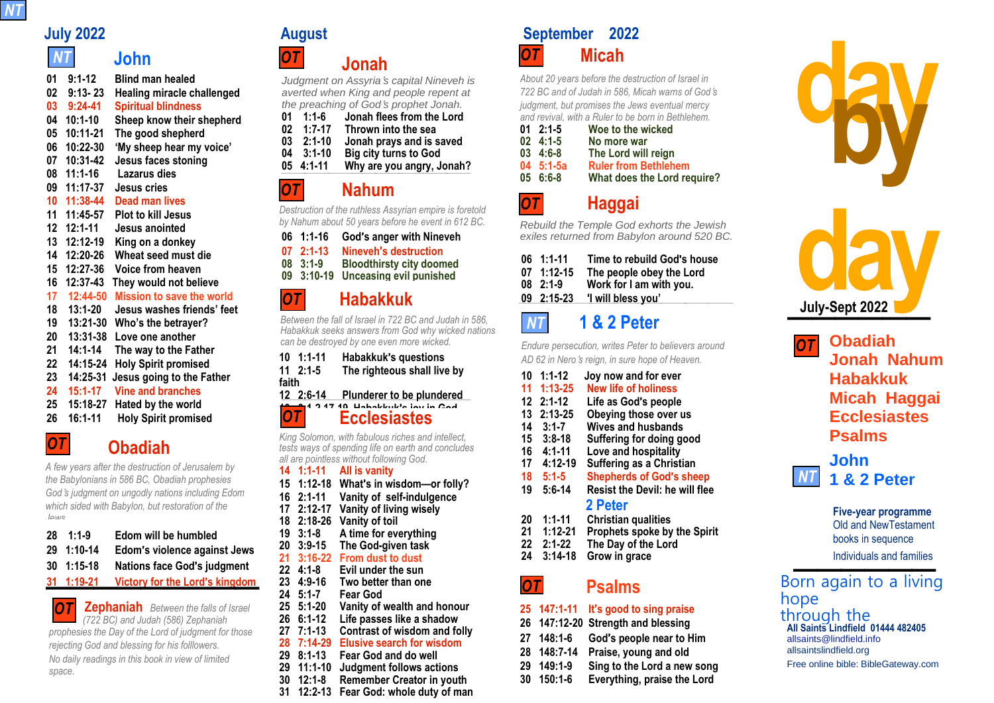*NT* 

*NT* 

# *NT* **John**

**01 9:1-12 Blind man healed 02 9:13- 23 Healing miracle challenged 03 9:24-41 Spiritual blindness 04 10:1-10 Sheep know their shepherd 05 10:11-21 The good shepherd 06 10:22-30 'My sheep hear my voice' 07 10:31-42 Jesus faces stoning 08 11:1-16 Lazarus dies 09 11:17-37 Jesus cries 10 11:38-44 Dead man lives 11 11:45-57 Plot to kill Jesus 12 12:1-11 Jesus anointed 13 12:12-19 King on a donkey 14 12:20-26 Wheat seed must die 15 12:27-36 Voice from heaven 16 12:37-43 They would not believe 17 12:44-50 Mission to save the world 18 13:1-20 Jesus washes friends' feet 19 13:21-30 Who's the betrayer? 20 13:31-38 Love one another 21 14:1-14 The way to the Father 22 14:15-24 Holy Spirit promised 23 14:25-31 Jesus going to the Father 24 15:1-17 Vine and branches 25 15:18-27 Hated by the world 26 16:1-11 Holy Spirit promised**  24 15:1-17 Vine and branches<br>25 15:18-27 Hated by the world<br>26 16:1-11 Holy Spirit promised

## **27 16:12-15 Guide into all truth** *OT*

**Obadiah** *A few years after the destruction of Jerusalem by*

*the Babylonians in 586 BC, Obadiah prophesies God*'*s judgment on ungodly nations including Edom which sided with Babylon, but restoration of the Jews.*

| $28 \quad 1:1-9$   | Edom will be humbled               |
|--------------------|------------------------------------|
| 29 1:10-14         | Edom's violence against Jews       |
| $30 \quad 1:15-18$ | <b>Nations face God's judgment</b> |
| $31 - 1.19 - 21$   | Victory for the Lord's kingdom     |

*o***<sub>***T***</sub>** *Zephaniah Between the falls of Israel (722 BC) and Judah (586) Zephaniah prophesies the Day of the Lord of judgment for those OT*  **Zephaniah** *Between the falls of Israel (722 BC) and Judah (586) Zephaniah rejecting God and blessing for his folllowers. No daily readings in this book in view of limited space.*

*OT*

*OT*

# **Jonah**

*Judgment on Assyria*'*s capital Nineveh is averted when King and people repent at the preaching of God*'*s prophet Jonah.*

| 01 | $1:1-6$    | Jonah flees from the Lord    |
|----|------------|------------------------------|
| 02 | $1:7-17$   | Thrown into the sea          |
| 03 | $2:1 - 10$ | Jonah prays and is saved     |
| 04 | $3:1 - 10$ | <b>Big city turns to God</b> |
|    | 05 4:1-11  | Why are you angry, Jonah?    |
|    |            |                              |

# **Nahum**

*Destruction of the ruthless Assyrian empire is foretold by Nahum about 50 years before he event in 612 BC.*

**06 1:1-16 God**'**s anger with Nineveh 07 2:1-13 Nineveh**'**s destruction 08 3:1-9 Bloodthirsty city doomed 07 2:1-13 Nineveh's destruction<br>08 3:1-9 Bloodthirsty city doomed<br>09 3:10-19 Unceasing evil punished** 

*OT* **09** 

# **Habakkuk**

*Between the fall of Israel in 722 BC and Judah in 586, Habakkuk seeks answers from God why wicked nations can be destroyed by one even more wicked.*

|                                                                                                                                                                                | $10 \quad 1:1 - 11$ | Habakkuk's questions                                |  |
|--------------------------------------------------------------------------------------------------------------------------------------------------------------------------------|---------------------|-----------------------------------------------------|--|
|                                                                                                                                                                                | $11 \t2:1-5$        | The righteous shall live by                         |  |
| faith                                                                                                                                                                          |                     |                                                     |  |
|                                                                                                                                                                                |                     | 12 2:6-14 Plunderer to be plundered                 |  |
| <b>OT</b>                                                                                                                                                                      |                     | <b>Llabaldudo lau in Cad</b><br><b>Ecclesiastes</b> |  |
| King Solomon, with fabulous riches and intellect,<br>tests ways of spending life on earth and concludes<br>all are pointless without following God.<br>14 1:1-11 All is vanity |                     |                                                     |  |

- **15 1:12-18 What**'**s in wisdom—or folly?**
- **16 2:1-11 Vanity of self-indulgence**
- **17 2:12-17 Vanity of living wisely**
- **18 2:18-26 Vanity of toil**
- **19 3:1-8 A time for everything**
- **20 3:9-15 The God-given task**

# **21 3:16-22 From dust to dust**

- **22 4:1-8 Evil under the sun 23 4:9-16 Two better than one**
	-
- **24 5:1-7 Fear God 25 5:1-20 Vanity of wealth and honour** 
	-
- **26 6:1-12 Life passes like a shadow 27 7:1-13 Contrast of wisdom and folly**
- **28 7:14-29 Elusive search for wisdom**
- **29 8:1-13 Fear God and do well**
- **29 11:1-10 Judgment follows actions**
- **30 12:1-8 Remember Creator in youth**
- **31 12:2-13 Fear God: whole duty of man**

**July 2022 August September 2022 Micah** *OT*

> *About 20 years before the destruction of Israel in 722 BC and of Judah in 586, Micah warns of God*'*s judgment, but promises the Jews eventual mercy and revival, with a Ruler to be born in Bethlehem.*

| $01 \quad 2:1-5$  | Woe to the wicked           |
|-------------------|-----------------------------|
| $02 \quad 4:1-5$  | No more war                 |
| $03 \quad 4:6-8$  | The Lord will reign         |
| $04 \quad 5:1-5a$ | <b>Ruler from Bethlehem</b> |
| 056:6:8           | What does the Lord require? |
|                   |                             |

## **06 7:15-20 God delights in love Haggai**

*OT*

*Rebuild the Temple God exhorts the Jewish exiles returned from Babylon around 520 BC.*

| $06$ 1:1-11        | Time to rebuild God's house       |
|--------------------|-----------------------------------|
| $07 \quad 1:12-15$ | The people obey the Lord          |
| $08$ 2:1-9         | Work for I am with you.           |
|                    | $09 \t2:15-23$ 'I will bless you' |
|                    |                                   |

## *NT*  **1 & 2 Peter**

*Endure persecution, writes Peter to believers around AD 62 in Nero*'*s reign, in sure hope of Heaven.*

|    | 10 1:1-12   | Joy now and for ever                  |  |
|----|-------------|---------------------------------------|--|
|    | 11 1:13-25  | <b>New life of holiness</b>           |  |
| 12 | $2:1-12$    | Life as God's people                  |  |
| 13 | $2:13 - 25$ | Obeying those over us                 |  |
| 14 | $3:1 - 7$   | <b>Wives and husbands</b>             |  |
|    | 15 3:8-18   | Suffering for doing good              |  |
|    |             | Love and hospitality                  |  |
| 17 | $4:12-19$   | Suffering as a Christian              |  |
| 18 | $5:1-5$     | <b>Shepherds of God's sheep</b>       |  |
| 19 | $5:6-14$    | <b>Resist the Devil: he will flee</b> |  |
|    |             | 2 Peter                               |  |
| 20 | $1:1 - 11$  | <b>Christian qualities</b>            |  |
| 21 | $1:12 - 21$ | Prophets spoke by the Spirit          |  |
| 22 | $2:1-22$    | The Day of the Lord                   |  |
| 24 | $3:14-18$   | Grow in grace                         |  |
|    |             |                                       |  |

## **Psalms** *OT*

# **25 147:1-11 It**'**s good to sing praise**

**26 147:12-20 Strength and blessing**

- **27 148:1-6 God**'**s people near to Him**
- **28 148:7-14 Praise, young and old**
- **29 149:1-9 Sing to the Lord a new song**
- **30 150:1-6 Everything, praise the Lord**



**2022 July-Sept Habakkuk Obadiah Jonah Nahum Micah Haggai Ecclesiastes Psalms John 1 & 2 Peter** *OT NT* 

**Five-year programme** Old and NewTestament books in sequence books in sequence<br>Individuals and families

**All Saints Lindfield 01444 482405**<br>allsaints@lindfield.info [allsaints@lindfield.info](mailto:allsaints@lindfield.info) allsaintslindfield.org Free online bible: BibleGateway.com Born again to a living hope through the